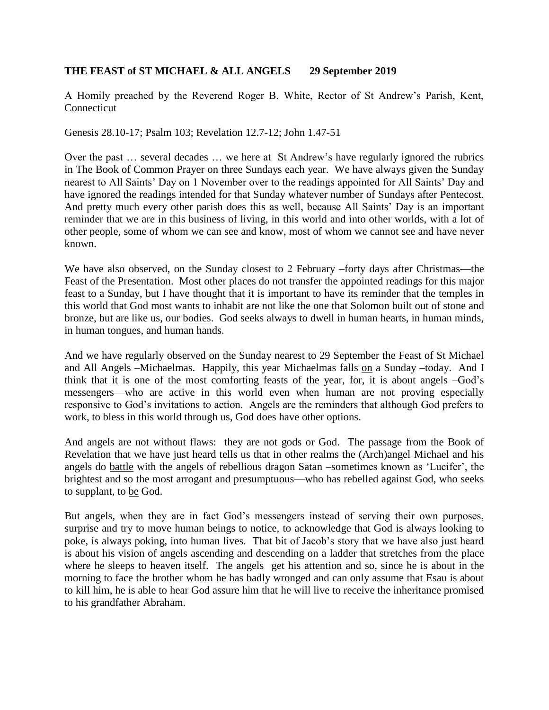## **THE FEAST of ST MICHAEL & ALL ANGELS 29 September 2019**

A Homily preached by the Reverend Roger B. White, Rector of St Andrew's Parish, Kent, Connecticut

Genesis 28.10-17; Psalm 103; Revelation 12.7-12; John 1.47-51

Over the past … several decades … we here at St Andrew's have regularly ignored the rubrics in The Book of Common Prayer on three Sundays each year. We have always given the Sunday nearest to All Saints' Day on 1 November over to the readings appointed for All Saints' Day and have ignored the readings intended for that Sunday whatever number of Sundays after Pentecost. And pretty much every other parish does this as well, because All Saints' Day is an important reminder that we are in this business of living, in this world and into other worlds, with a lot of other people, some of whom we can see and know, most of whom we cannot see and have never known.

We have also observed, on the Sunday closest to 2 February –forty days after Christmas—the Feast of the Presentation. Most other places do not transfer the appointed readings for this major feast to a Sunday, but I have thought that it is important to have its reminder that the temples in this world that God most wants to inhabit are not like the one that Solomon built out of stone and bronze, but are like us, our bodies. God seeks always to dwell in human hearts, in human minds, in human tongues, and human hands.

And we have regularly observed on the Sunday nearest to 29 September the Feast of St Michael and All Angels –Michaelmas. Happily, this year Michaelmas falls on a Sunday –today. And I think that it is one of the most comforting feasts of the year, for, it is about angels –God's messengers—who are active in this world even when human are not proving especially responsive to God's invitations to action. Angels are the reminders that although God prefers to work, to bless in this world through us, God does have other options.

And angels are not without flaws: they are not gods or God. The passage from the Book of Revelation that we have just heard tells us that in other realms the (Arch)angel Michael and his angels do battle with the angels of rebellious dragon Satan –sometimes known as 'Lucifer', the brightest and so the most arrogant and presumptuous—who has rebelled against God, who seeks to supplant, to be God.

But angels, when they are in fact God's messengers instead of serving their own purposes, surprise and try to move human beings to notice, to acknowledge that God is always looking to poke, is always poking, into human lives. That bit of Jacob's story that we have also just heard is about his vision of angels ascending and descending on a ladder that stretches from the place where he sleeps to heaven itself. The angels get his attention and so, since he is about in the morning to face the brother whom he has badly wronged and can only assume that Esau is about to kill him, he is able to hear God assure him that he will live to receive the inheritance promised to his grandfather Abraham.